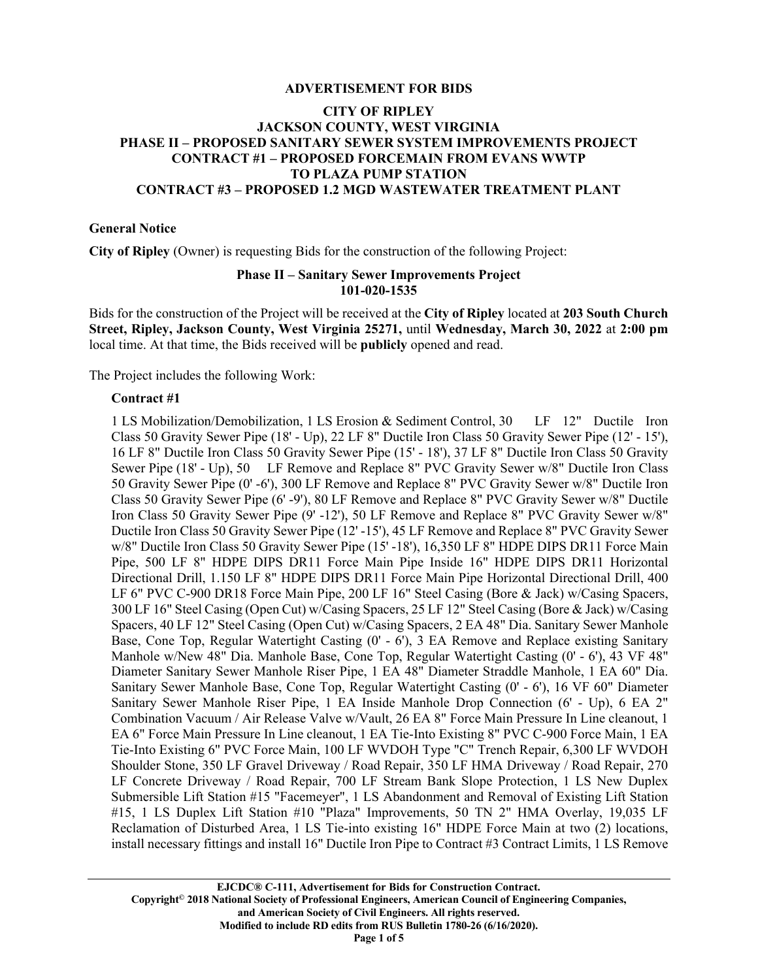#### **ADVERTISEMENT FOR BIDS**

### **CITY OF RIPLEY JACKSON COUNTY, WEST VIRGINIA PHASE II – PROPOSED SANITARY SEWER SYSTEM IMPROVEMENTS PROJECT CONTRACT #1 – PROPOSED FORCEMAIN FROM EVANS WWTP TO PLAZA PUMP STATION CONTRACT #3 – PROPOSED 1.2 MGD WASTEWATER TREATMENT PLANT**

#### **General Notice**

**City of Ripley** (Owner) is requesting Bids for the construction of the following Project:

#### **Phase II – Sanitary Sewer Improvements Project 101-020-1535**

Bids for the construction of the Project will be received at the **City of Ripley** located at **203 South Church Street, Ripley, Jackson County, West Virginia 25271,** until **Wednesday, March 30, 2022** at **2:00 pm** local time. At that time, the Bids received will be **publicly** opened and read.

The Project includes the following Work:

#### **Contract #1**

1 LS Mobilization/Demobilization, 1 LS Erosion & Sediment Control, 30 LF 12" Ductile Iron Class 50 Gravity Sewer Pipe (18' - Up), 22 LF 8" Ductile Iron Class 50 Gravity Sewer Pipe (12' - 15'), 16 LF 8" Ductile Iron Class 50 Gravity Sewer Pipe (15' - 18'), 37 LF 8" Ductile Iron Class 50 Gravity Sewer Pipe (18' - Up), 50 LF Remove and Replace 8" PVC Gravity Sewer w/8" Ductile Iron Class 50 Gravity Sewer Pipe (0' -6'), 300 LF Remove and Replace 8" PVC Gravity Sewer w/8" Ductile Iron Class 50 Gravity Sewer Pipe (6' -9'), 80 LF Remove and Replace 8" PVC Gravity Sewer w/8" Ductile Iron Class 50 Gravity Sewer Pipe (9' -12'), 50 LF Remove and Replace 8" PVC Gravity Sewer w/8" Ductile Iron Class 50 Gravity Sewer Pipe (12' -15'), 45 LF Remove and Replace 8" PVC Gravity Sewer w/8" Ductile Iron Class 50 Gravity Sewer Pipe (15' -18'), 16,350 LF 8" HDPE DIPS DR11 Force Main Pipe, 500 LF 8" HDPE DIPS DR11 Force Main Pipe Inside 16" HDPE DIPS DR11 Horizontal Directional Drill, 1.150 LF 8" HDPE DIPS DR11 Force Main Pipe Horizontal Directional Drill, 400 LF 6" PVC C-900 DR18 Force Main Pipe, 200 LF 16" Steel Casing (Bore & Jack) w/Casing Spacers, 300 LF 16" Steel Casing (Open Cut) w/Casing Spacers, 25 LF 12" Steel Casing (Bore & Jack) w/Casing Spacers, 40 LF 12" Steel Casing (Open Cut) w/Casing Spacers, 2 EA 48" Dia. Sanitary Sewer Manhole Base, Cone Top, Regular Watertight Casting (0' - 6'), 3 EA Remove and Replace existing Sanitary Manhole w/New 48" Dia. Manhole Base, Cone Top, Regular Watertight Casting (0' - 6'), 43 VF 48" Diameter Sanitary Sewer Manhole Riser Pipe, 1 EA 48" Diameter Straddle Manhole, 1 EA 60" Dia. Sanitary Sewer Manhole Base, Cone Top, Regular Watertight Casting (0' - 6'), 16 VF 60" Diameter Sanitary Sewer Manhole Riser Pipe, 1 EA Inside Manhole Drop Connection (6' - Up), 6 EA 2" Combination Vacuum / Air Release Valve w/Vault, 26 EA 8" Force Main Pressure In Line cleanout, 1 EA 6" Force Main Pressure In Line cleanout, 1 EA Tie-Into Existing 8" PVC C-900 Force Main, 1 EA Tie-Into Existing 6" PVC Force Main, 100 LF WVDOH Type "C" Trench Repair, 6,300 LF WVDOH Shoulder Stone, 350 LF Gravel Driveway / Road Repair, 350 LF HMA Driveway / Road Repair, 270 LF Concrete Driveway / Road Repair, 700 LF Stream Bank Slope Protection, 1 LS New Duplex Submersible Lift Station #15 "Facemeyer", 1 LS Abandonment and Removal of Existing Lift Station #15, 1 LS Duplex Lift Station #10 "Plaza" Improvements, 50 TN 2" HMA Overlay, 19,035 LF Reclamation of Disturbed Area, 1 LS Tie-into existing 16" HDPE Force Main at two (2) locations, install necessary fittings and install 16" Ductile Iron Pipe to Contract #3 Contract Limits, 1 LS Remove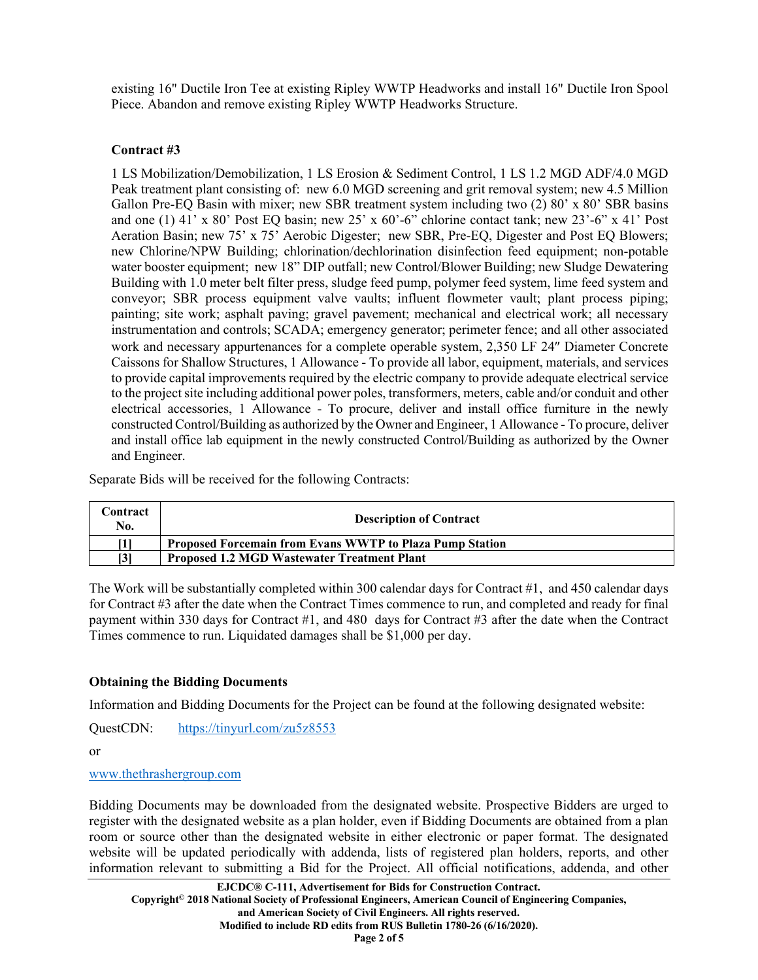existing 16" Ductile Iron Tee at existing Ripley WWTP Headworks and install 16" Ductile Iron Spool Piece. Abandon and remove existing Ripley WWTP Headworks Structure.

## **Contract #3**

1 LS Mobilization/Demobilization, 1 LS Erosion & Sediment Control, 1 LS 1.2 MGD ADF/4.0 MGD Peak treatment plant consisting of: new 6.0 MGD screening and grit removal system; new 4.5 Million Gallon Pre-EQ Basin with mixer; new SBR treatment system including two (2) 80' x 80' SBR basins and one (1)  $41'$  x  $80'$  Post EQ basin; new  $25'$  x  $60'$ -6" chlorine contact tank; new  $23'$ -6" x  $41'$  Post Aeration Basin; new 75' x 75' Aerobic Digester; new SBR, Pre-EQ, Digester and Post EQ Blowers; new Chlorine/NPW Building; chlorination/dechlorination disinfection feed equipment; non-potable water booster equipment; new 18" DIP outfall; new Control/Blower Building; new Sludge Dewatering Building with 1.0 meter belt filter press, sludge feed pump, polymer feed system, lime feed system and conveyor; SBR process equipment valve vaults; influent flowmeter vault; plant process piping; painting; site work; asphalt paving; gravel pavement; mechanical and electrical work; all necessary instrumentation and controls; SCADA; emergency generator; perimeter fence; and all other associated work and necessary appurtenances for a complete operable system, 2,350 LF 24″ Diameter Concrete Caissons for Shallow Structures, 1 Allowance - To provide all labor, equipment, materials, and services to provide capital improvements required by the electric company to provide adequate electrical service to the project site including additional power poles, transformers, meters, cable and/or conduit and other electrical accessories, 1 Allowance - To procure, deliver and install office furniture in the newly constructed Control/Building as authorized by the Owner and Engineer, 1 Allowance - To procure, deliver and install office lab equipment in the newly constructed Control/Building as authorized by the Owner and Engineer.

Separate Bids will be received for the following Contracts:

| Contract<br>No. | <b>Description of Contract</b>                                  |
|-----------------|-----------------------------------------------------------------|
|                 | <b>Proposed Forcemain from Evans WWTP to Plaza Pump Station</b> |
| 131             | <b>Proposed 1.2 MGD Wastewater Treatment Plant</b>              |

The Work will be substantially completed within 300 calendar days for Contract #1, and 450 calendar days for Contract #3 after the date when the Contract Times commence to run, and completed and ready for final payment within 330 days for Contract #1, and 480 days for Contract #3 after the date when the Contract Times commence to run. Liquidated damages shall be \$1,000 per day.

## **Obtaining the Bidding Documents**

Information and Bidding Documents for the Project can be found at the following designated website:

QuestCDN: <https://tinyurl.com/zu5z8553>

or

## [www.thethrashergroup.com](http://www.thethrashergroup.com/)

Bidding Documents may be downloaded from the designated website. Prospective Bidders are urged to register with the designated website as a plan holder, even if Bidding Documents are obtained from a plan room or source other than the designated website in either electronic or paper format. The designated website will be updated periodically with addenda, lists of registered plan holders, reports, and other information relevant to submitting a Bid for the Project. All official notifications, addenda, and other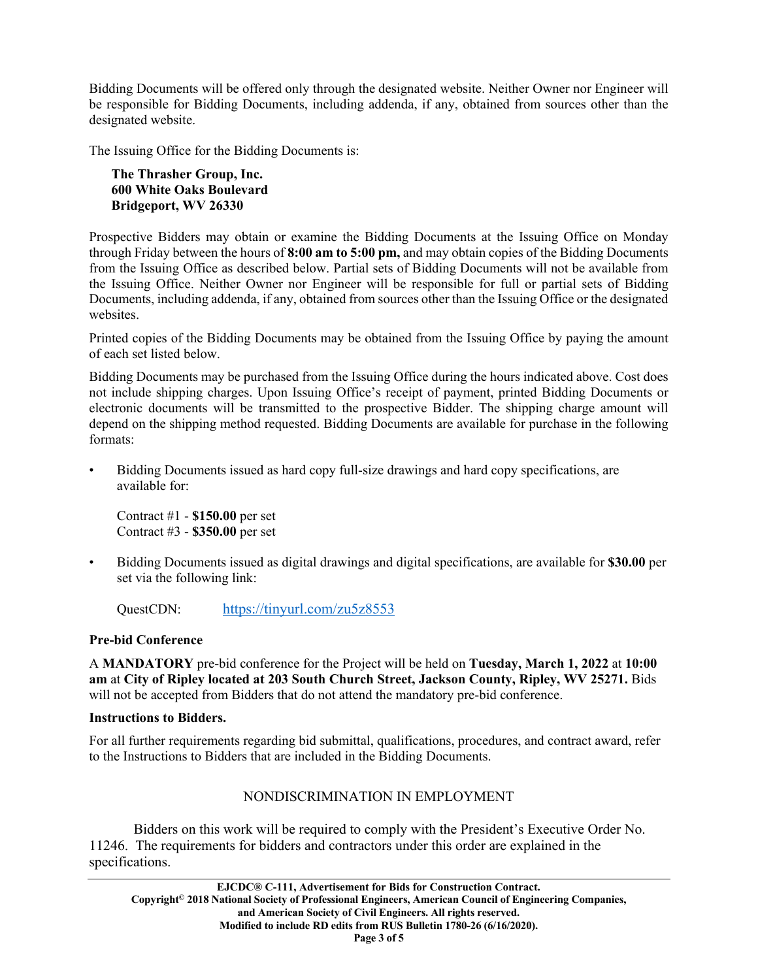Bidding Documents will be offered only through the designated website. Neither Owner nor Engineer will be responsible for Bidding Documents, including addenda, if any, obtained from sources other than the designated website.

The Issuing Office for the Bidding Documents is:

**The Thrasher Group, Inc. 600 White Oaks Boulevard Bridgeport, WV 26330**

Prospective Bidders may obtain or examine the Bidding Documents at the Issuing Office on Monday through Friday between the hours of **8:00 am to 5:00 pm,** and may obtain copies of the Bidding Documents from the Issuing Office as described below. Partial sets of Bidding Documents will not be available from the Issuing Office. Neither Owner nor Engineer will be responsible for full or partial sets of Bidding Documents, including addenda, if any, obtained from sources other than the Issuing Office or the designated websites.

Printed copies of the Bidding Documents may be obtained from the Issuing Office by paying the amount of each set listed below.

Bidding Documents may be purchased from the Issuing Office during the hours indicated above. Cost does not include shipping charges. Upon Issuing Office's receipt of payment, printed Bidding Documents or electronic documents will be transmitted to the prospective Bidder. The shipping charge amount will depend on the shipping method requested. Bidding Documents are available for purchase in the following formats:

• Bidding Documents issued as hard copy full-size drawings and hard copy specifications, are available for:

Contract #1 - **\$150.00** per set Contract #3 - **\$350.00** per set

• Bidding Documents issued as digital drawings and digital specifications, are available for **\$30.00** per set via the following link:

QuestCDN: <https://tinyurl.com/zu5z8553>

## **Pre-bid Conference**

A **MANDATORY** pre-bid conference for the Project will be held on **Tuesday, March 1, 2022** at **10:00 am** at **City of Ripley located at 203 South Church Street, Jackson County, Ripley, WV 25271.** Bids will not be accepted from Bidders that do not attend the mandatory pre-bid conference.

## **Instructions to Bidders.**

For all further requirements regarding bid submittal, qualifications, procedures, and contract award, refer to the Instructions to Bidders that are included in the Bidding Documents.

# NONDISCRIMINATION IN EMPLOYMENT

Bidders on this work will be required to comply with the President's Executive Order No. 11246. The requirements for bidders and contractors under this order are explained in the specifications.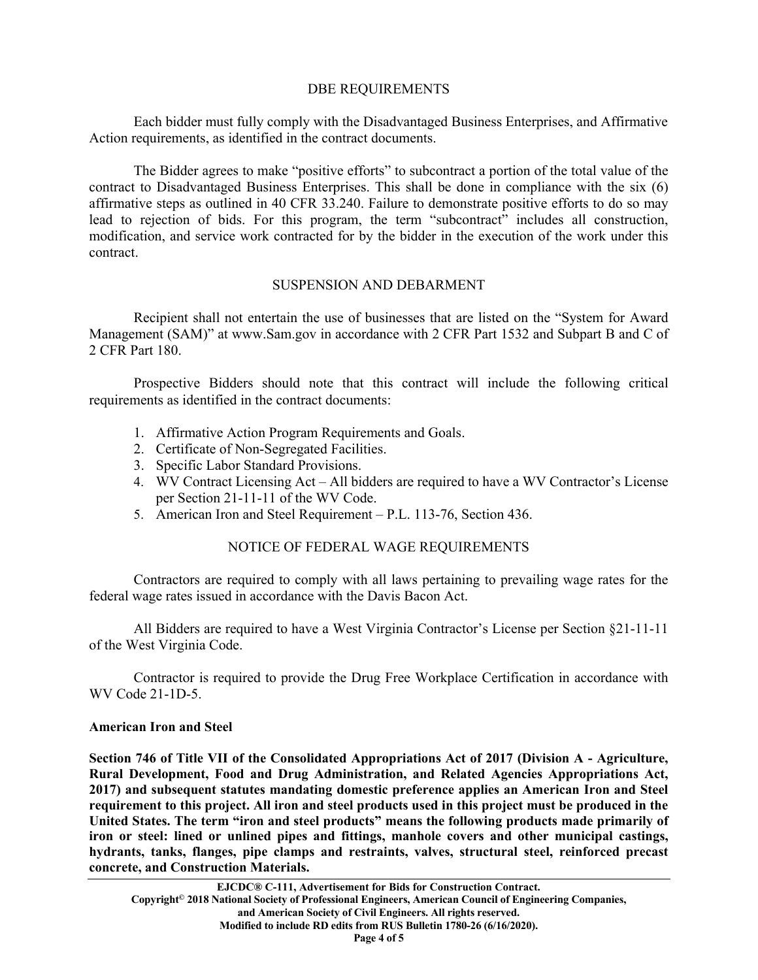#### DBE REQUIREMENTS

Each bidder must fully comply with the Disadvantaged Business Enterprises, and Affirmative Action requirements, as identified in the contract documents.

The Bidder agrees to make "positive efforts" to subcontract a portion of the total value of the contract to Disadvantaged Business Enterprises. This shall be done in compliance with the six (6) affirmative steps as outlined in 40 CFR 33.240. Failure to demonstrate positive efforts to do so may lead to rejection of bids. For this program, the term "subcontract" includes all construction, modification, and service work contracted for by the bidder in the execution of the work under this contract.

### SUSPENSION AND DEBARMENT

Recipient shall not entertain the use of businesses that are listed on the "System for Award Management (SAM)" at www.Sam.gov in accordance with 2 CFR Part 1532 and Subpart B and C of 2 CFR Part 180.

Prospective Bidders should note that this contract will include the following critical requirements as identified in the contract documents:

- 1. Affirmative Action Program Requirements and Goals.
- 2. Certificate of Non-Segregated Facilities.
- 3. Specific Labor Standard Provisions.
- 4. WV Contract Licensing Act All bidders are required to have a WV Contractor's License per Section 21-11-11 of the WV Code.
- 5. American Iron and Steel Requirement P.L. 113-76, Section 436.

## NOTICE OF FEDERAL WAGE REQUIREMENTS

Contractors are required to comply with all laws pertaining to prevailing wage rates for the federal wage rates issued in accordance with the Davis Bacon Act.

All Bidders are required to have a West Virginia Contractor's License per Section §21-11-11 of the West Virginia Code.

Contractor is required to provide the Drug Free Workplace Certification in accordance with WV Code 21-1D-5.

#### **American Iron and Steel**

**Section 746 of Title VII of the Consolidated Appropriations Act of 2017 (Division A - Agriculture, Rural Development, Food and Drug Administration, and Related Agencies Appropriations Act, 2017) and subsequent statutes mandating domestic preference applies an American Iron and Steel requirement to this project. All iron and steel products used in this project must be produced in the United States. The term "iron and steel products" means the following products made primarily of iron or steel: lined or unlined pipes and fittings, manhole covers and other municipal castings, hydrants, tanks, flanges, pipe clamps and restraints, valves, structural steel, reinforced precast concrete, and Construction Materials.**